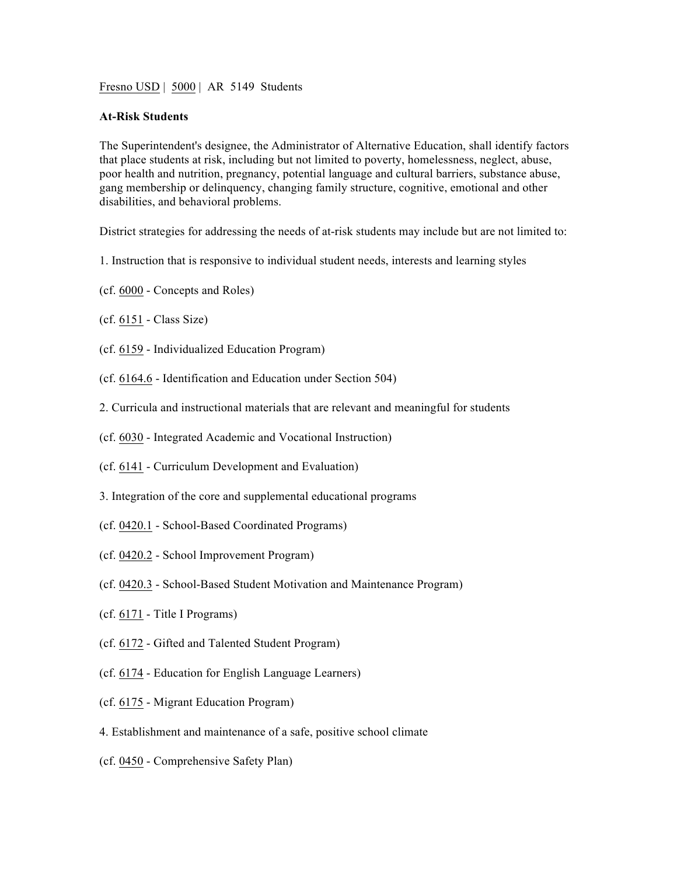Fresno USD | 5000 | AR 5149 Students

## **At-Risk Students**

The Superintendent's designee, the Administrator of Alternative Education, shall identify factors that place students at risk, including but not limited to poverty, homelessness, neglect, abuse, poor health and nutrition, pregnancy, potential language and cultural barriers, substance abuse, gang membership or delinquency, changing family structure, cognitive, emotional and other disabilities, and behavioral problems.

District strategies for addressing the needs of at-risk students may include but are not limited to:

- 1. Instruction that is responsive to individual student needs, interests and learning styles
- (cf. 6000 Concepts and Roles)
- (cf. 6151 Class Size)
- (cf. 6159 Individualized Education Program)
- (cf. 6164.6 Identification and Education under Section 504)
- 2. Curricula and instructional materials that are relevant and meaningful for students
- (cf. 6030 Integrated Academic and Vocational Instruction)
- (cf. 6141 Curriculum Development and Evaluation)
- 3. Integration of the core and supplemental educational programs
- (cf. 0420.1 School-Based Coordinated Programs)
- (cf. 0420.2 School Improvement Program)
- (cf. 0420.3 School-Based Student Motivation and Maintenance Program)
- (cf. 6171 Title I Programs)
- (cf. 6172 Gifted and Talented Student Program)
- (cf. 6174 Education for English Language Learners)
- (cf. 6175 Migrant Education Program)
- 4. Establishment and maintenance of a safe, positive school climate
- (cf. 0450 Comprehensive Safety Plan)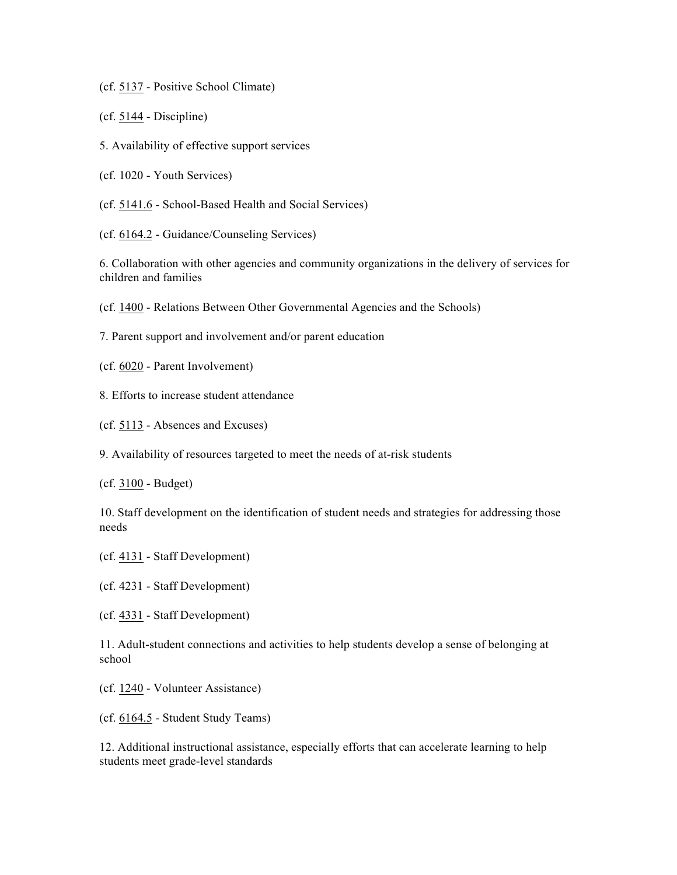(cf. 5137 - Positive School Climate)

(cf. 5144 - Discipline)

5. Availability of effective support services

(cf. 1020 - Youth Services)

(cf. 5141.6 - School-Based Health and Social Services)

(cf. 6164.2 - Guidance/Counseling Services)

6. Collaboration with other agencies and community organizations in the delivery of services for children and families

(cf. 1400 - Relations Between Other Governmental Agencies and the Schools)

7. Parent support and involvement and/or parent education

(cf. 6020 - Parent Involvement)

8. Efforts to increase student attendance

(cf. 5113 - Absences and Excuses)

9. Availability of resources targeted to meet the needs of at-risk students

(cf. 3100 - Budget)

10. Staff development on the identification of student needs and strategies for addressing those needs

(cf. 4131 - Staff Development)

(cf. 4231 - Staff Development)

(cf. 4331 - Staff Development)

11. Adult-student connections and activities to help students develop a sense of belonging at school

(cf. 1240 - Volunteer Assistance)

(cf. 6164.5 - Student Study Teams)

12. Additional instructional assistance, especially efforts that can accelerate learning to help students meet grade-level standards